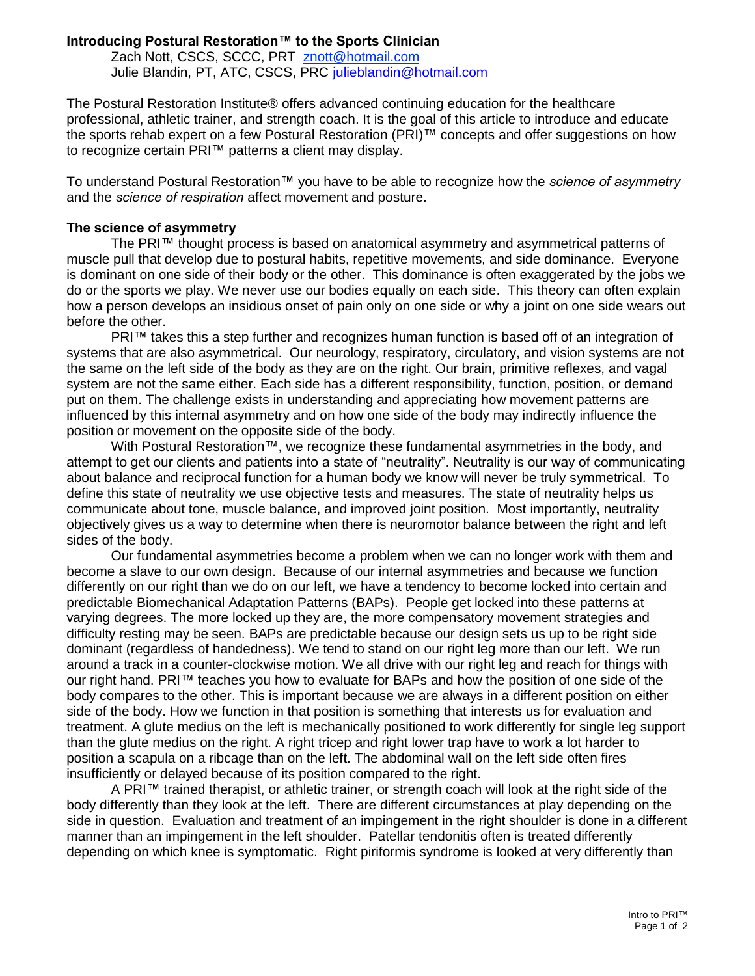## **Introducing Postural Restoration™ to the Sports Clinician**

Zach Nott, CSCS, SCCC, PRT [znott@hotmail.com](mailto:znott@hotmail.com) Julie Blandin, PT, ATC, CSCS, PRC [julieblandin@hotmail.com](mailto:julieblandin@hotmail.com)

The Postural Restoration Institute® offers advanced continuing education for the healthcare professional, athletic trainer, and strength coach. It is the goal of this article to introduce and educate the sports rehab expert on a few Postural Restoration (PRI)™ concepts and offer suggestions on how to recognize certain PRI™ patterns a client may display.

To understand Postural Restoration™ you have to be able to recognize how the *science of asymmetry* and the *science of respiration* affect movement and posture.

## **The science of asymmetry**

The PRI™ thought process is based on anatomical asymmetry and asymmetrical patterns of muscle pull that develop due to postural habits, repetitive movements, and side dominance. Everyone is dominant on one side of their body or the other. This dominance is often exaggerated by the jobs we do or the sports we play. We never use our bodies equally on each side. This theory can often explain how a person develops an insidious onset of pain only on one side or why a joint on one side wears out before the other.

PRI™ takes this a step further and recognizes human function is based off of an integration of systems that are also asymmetrical. Our neurology, respiratory, circulatory, and vision systems are not the same on the left side of the body as they are on the right. Our brain, primitive reflexes, and vagal system are not the same either. Each side has a different responsibility, function, position, or demand put on them. The challenge exists in understanding and appreciating how movement patterns are influenced by this internal asymmetry and on how one side of the body may indirectly influence the position or movement on the opposite side of the body.

With Postural Restoration™, we recognize these fundamental asymmetries in the body, and attempt to get our clients and patients into a state of "neutrality". Neutrality is our way of communicating about balance and reciprocal function for a human body we know will never be truly symmetrical. To define this state of neutrality we use objective tests and measures. The state of neutrality helps us communicate about tone, muscle balance, and improved joint position. Most importantly, neutrality objectively gives us a way to determine when there is neuromotor balance between the right and left sides of the body.

Our fundamental asymmetries become a problem when we can no longer work with them and become a slave to our own design. Because of our internal asymmetries and because we function differently on our right than we do on our left, we have a tendency to become locked into certain and predictable Biomechanical Adaptation Patterns (BAPs). People get locked into these patterns at varying degrees. The more locked up they are, the more compensatory movement strategies and difficulty resting may be seen. BAPs are predictable because our design sets us up to be right side dominant (regardless of handedness). We tend to stand on our right leg more than our left. We run around a track in a counter-clockwise motion. We all drive with our right leg and reach for things with our right hand. PRI™ teaches you how to evaluate for BAPs and how the position of one side of the body compares to the other. This is important because we are always in a different position on either side of the body. How we function in that position is something that interests us for evaluation and treatment. A glute medius on the left is mechanically positioned to work differently for single leg support than the glute medius on the right. A right tricep and right lower trap have to work a lot harder to position a scapula on a ribcage than on the left. The abdominal wall on the left side often fires insufficiently or delayed because of its position compared to the right.

A PRI™ trained therapist, or athletic trainer, or strength coach will look at the right side of the body differently than they look at the left. There are different circumstances at play depending on the side in question. Evaluation and treatment of an impingement in the right shoulder is done in a different manner than an impingement in the left shoulder. Patellar tendonitis often is treated differently depending on which knee is symptomatic. Right piriformis syndrome is looked at very differently than